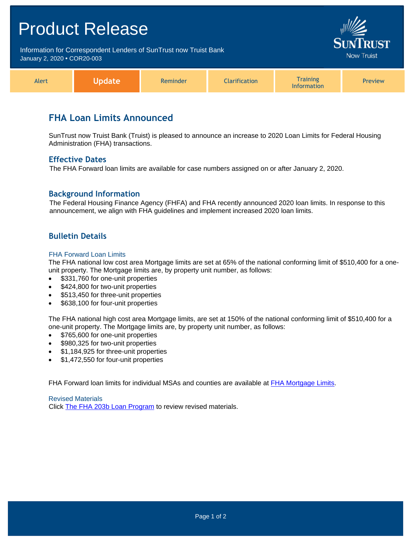# Product Release Information for Correspondent Lenders of SunTrust now Truist Bank **Now Truist** January 2, 2020 **•** COR20-003 **Training** Alert **Update** Reminder Clarification Preview

# **FHA Loan Limits Announced**

SunTrust now Truist Bank (Truist) is pleased to announce an increase to 2020 Loan Limits for Federal Housing Administration (FHA) transactions.

Information

#### **Effective Dates**

The FHA Forward loan limits are available for case numbers assigned on or after January 2, 2020.

#### **Background Information**

The Federal Housing Finance Agency (FHFA) and FHA recently announced 2020 loan limits. In response to this announcement, we align with FHA guidelines and implement increased 2020 loan limits.

### **Bulletin Details**

#### FHA Forward Loan Limits

The FHA national low cost area Mortgage limits are set at 65% of the national conforming limit of \$510,400 for a oneunit property. The Mortgage limits are, by property unit number, as follows:

- \$331,760 for one-unit properties
- \$424,800 for two-unit properties
- \$513,450 for three-unit properties
- \$638,100 for four-unit properties

The FHA national high cost area Mortgage limits, are set at 150% of the national conforming limit of \$510,400 for a one-unit property. The Mortgage limits are, by property unit number, as follows:

- \$765,600 for one-unit properties
- \$980,325 for two-unit properties
- \$1,184,925 for three-unit properties
- \$1,472,550 for four-unit properties

FHA Forward loan limits for individual MSAs and counties are available at [FHA Mortgage Limits.](https://entp.hud.gov/idapp/html/hicostlook.cfm)

Revised Materials Click [The FHA 203b Loan Program](https://www.truistsellerguide.com/manual/cor/products/cFHA.pdf) to review revised materials.